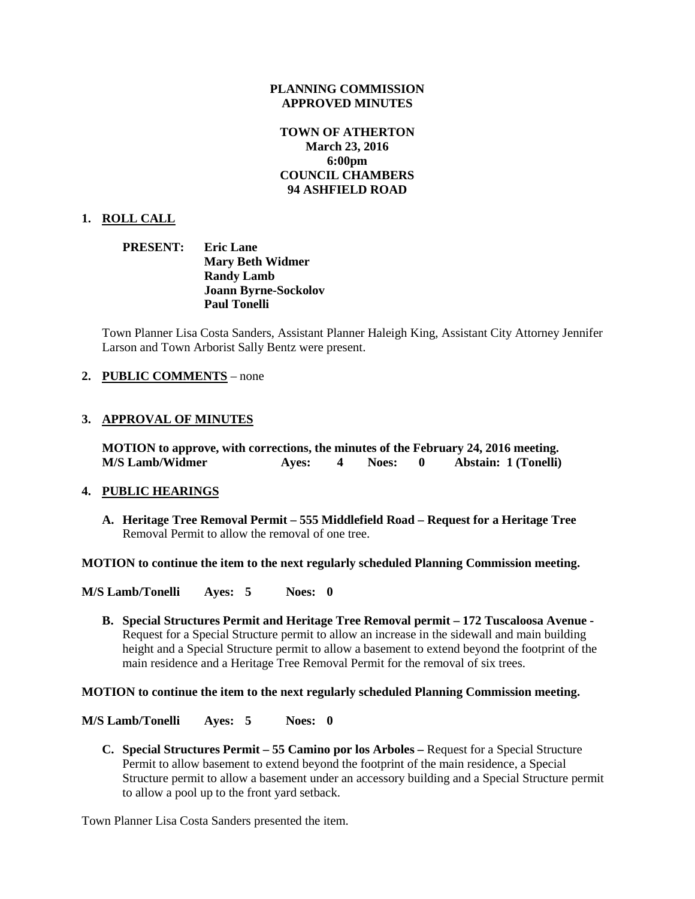#### **PLANNING COMMISSION APPROVED MINUTES**

## **TOWN OF ATHERTON March 23, 2016 6:00pm COUNCIL CHAMBERS 94 ASHFIELD ROAD**

## **1. ROLL CALL**

**PRESENT: Eric Lane Mary Beth Widmer Randy Lamb Joann Byrne-Sockolov Paul Tonelli**

Town Planner Lisa Costa Sanders, Assistant Planner Haleigh King, Assistant City Attorney Jennifer Larson and Town Arborist Sally Bentz were present.

### **2. PUBLIC COMMENTS** – none

## **3. APPROVAL OF MINUTES**

**MOTION to approve, with corrections, the minutes of the February 24, 2016 meeting. M/S Lamb/Widmer Ayes: 4 Noes: 0 Abstain: 1 (Tonelli)**

#### **4. PUBLIC HEARINGS**

**A. Heritage Tree Removal Permit – 555 Middlefield Road – Request for a Heritage Tree** Removal Permit to allow the removal of one tree.

**MOTION to continue the item to the next regularly scheduled Planning Commission meeting.**

**M/S Lamb/Tonelli Ayes: 5 Noes: 0**

**B. Special Structures Permit and Heritage Tree Removal permit – 172 Tuscaloosa Avenue -** Request for a Special Structure permit to allow an increase in the sidewall and main building height and a Special Structure permit to allow a basement to extend beyond the footprint of the main residence and a Heritage Tree Removal Permit for the removal of six trees.

#### **MOTION to continue the item to the next regularly scheduled Planning Commission meeting.**

**M/S Lamb/Tonelli Ayes: 5 Noes: 0**

**C. Special Structures Permit – 55 Camino por los Arboles –** Request for a Special Structure Permit to allow basement to extend beyond the footprint of the main residence, a Special Structure permit to allow a basement under an accessory building and a Special Structure permit to allow a pool up to the front yard setback.

Town Planner Lisa Costa Sanders presented the item.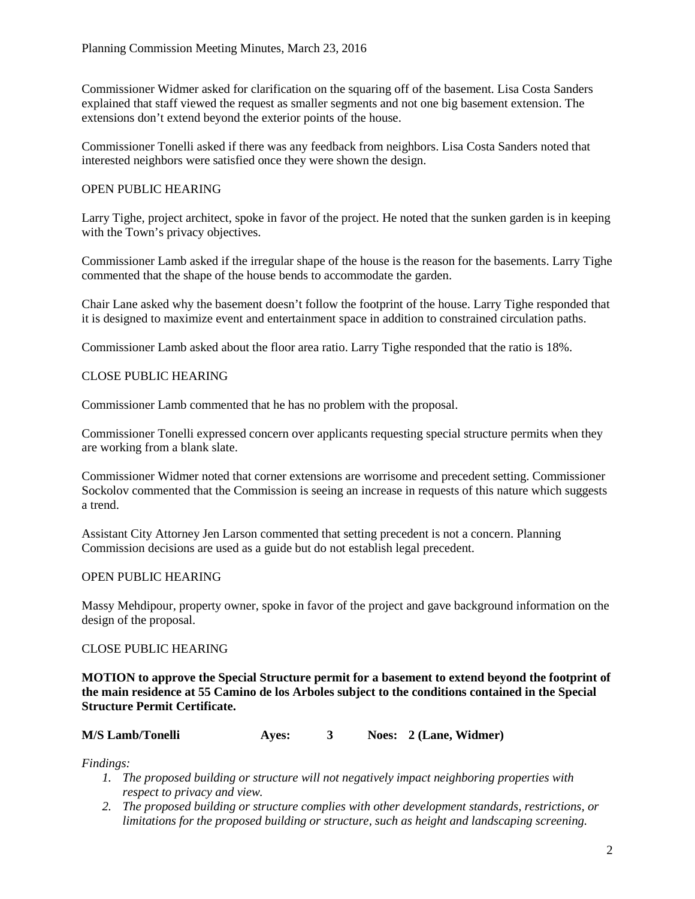Commissioner Widmer asked for clarification on the squaring off of the basement. Lisa Costa Sanders explained that staff viewed the request as smaller segments and not one big basement extension. The extensions don't extend beyond the exterior points of the house.

Commissioner Tonelli asked if there was any feedback from neighbors. Lisa Costa Sanders noted that interested neighbors were satisfied once they were shown the design.

## OPEN PUBLIC HEARING

Larry Tighe, project architect, spoke in favor of the project. He noted that the sunken garden is in keeping with the Town's privacy objectives.

Commissioner Lamb asked if the irregular shape of the house is the reason for the basements. Larry Tighe commented that the shape of the house bends to accommodate the garden.

Chair Lane asked why the basement doesn't follow the footprint of the house. Larry Tighe responded that it is designed to maximize event and entertainment space in addition to constrained circulation paths.

Commissioner Lamb asked about the floor area ratio. Larry Tighe responded that the ratio is 18%.

## CLOSE PUBLIC HEARING

Commissioner Lamb commented that he has no problem with the proposal.

Commissioner Tonelli expressed concern over applicants requesting special structure permits when they are working from a blank slate.

Commissioner Widmer noted that corner extensions are worrisome and precedent setting. Commissioner Sockolov commented that the Commission is seeing an increase in requests of this nature which suggests a trend.

Assistant City Attorney Jen Larson commented that setting precedent is not a concern. Planning Commission decisions are used as a guide but do not establish legal precedent.

## OPEN PUBLIC HEARING

Massy Mehdipour, property owner, spoke in favor of the project and gave background information on the design of the proposal.

## CLOSE PUBLIC HEARING

**MOTION to approve the Special Structure permit for a basement to extend beyond the footprint of the main residence at 55 Camino de los Arboles subject to the conditions contained in the Special Structure Permit Certificate.**

| <b>M/S Lamb/Tonelli</b> | Aves: |  |  | Noes: 2 (Lane, Widmer) |
|-------------------------|-------|--|--|------------------------|
|-------------------------|-------|--|--|------------------------|

*Findings:*

- *1. The proposed building or structure will not negatively impact neighboring properties with respect to privacy and view.*
- *2. The proposed building or structure complies with other development standards, restrictions, or limitations for the proposed building or structure, such as height and landscaping screening.*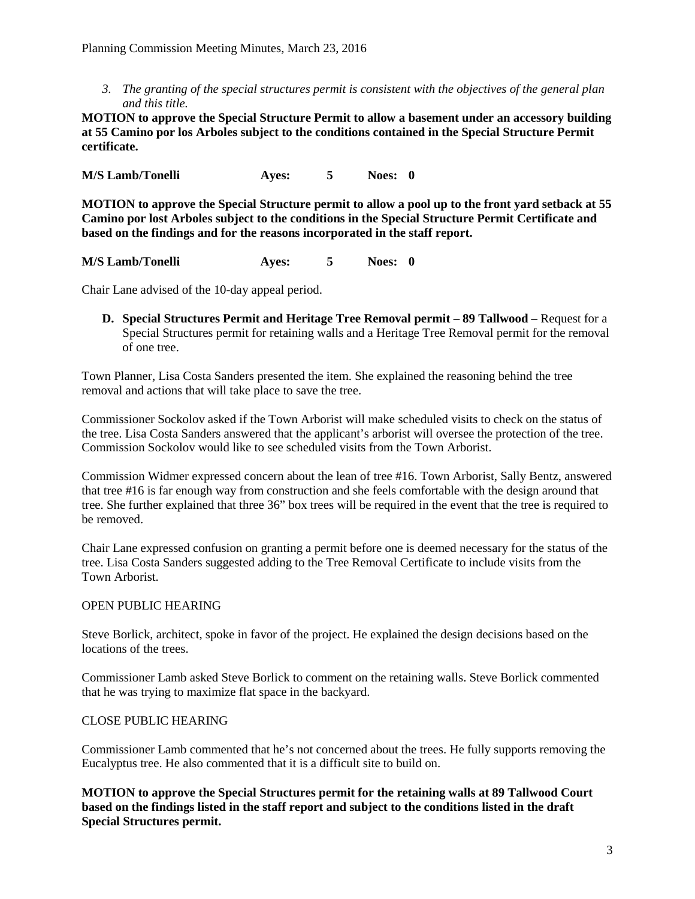*3. The granting of the special structures permit is consistent with the objectives of the general plan and this title.*

**MOTION to approve the Special Structure Permit to allow a basement under an accessory building at 55 Camino por los Arboles subject to the conditions contained in the Special Structure Permit certificate.**

**M/S Lamb/Tonelli Ayes: 5 Noes: 0**

**MOTION to approve the Special Structure permit to allow a pool up to the front yard setback at 55 Camino por lost Arboles subject to the conditions in the Special Structure Permit Certificate and based on the findings and for the reasons incorporated in the staff report.**

**M/S Lamb/Tonelli Ayes: 5 Noes: 0**

Chair Lane advised of the 10-day appeal period.

**D. Special Structures Permit and Heritage Tree Removal permit – 89 Tallwood –** Request for a Special Structures permit for retaining walls and a Heritage Tree Removal permit for the removal of one tree.

Town Planner, Lisa Costa Sanders presented the item. She explained the reasoning behind the tree removal and actions that will take place to save the tree.

Commissioner Sockolov asked if the Town Arborist will make scheduled visits to check on the status of the tree. Lisa Costa Sanders answered that the applicant's arborist will oversee the protection of the tree. Commission Sockolov would like to see scheduled visits from the Town Arborist.

Commission Widmer expressed concern about the lean of tree #16. Town Arborist, Sally Bentz, answered that tree #16 is far enough way from construction and she feels comfortable with the design around that tree. She further explained that three 36" box trees will be required in the event that the tree is required to be removed.

Chair Lane expressed confusion on granting a permit before one is deemed necessary for the status of the tree. Lisa Costa Sanders suggested adding to the Tree Removal Certificate to include visits from the Town Arborist.

## OPEN PUBLIC HEARING

Steve Borlick, architect, spoke in favor of the project. He explained the design decisions based on the locations of the trees.

Commissioner Lamb asked Steve Borlick to comment on the retaining walls. Steve Borlick commented that he was trying to maximize flat space in the backyard.

## CLOSE PUBLIC HEARING

Commissioner Lamb commented that he's not concerned about the trees. He fully supports removing the Eucalyptus tree. He also commented that it is a difficult site to build on.

**MOTION to approve the Special Structures permit for the retaining walls at 89 Tallwood Court based on the findings listed in the staff report and subject to the conditions listed in the draft Special Structures permit.**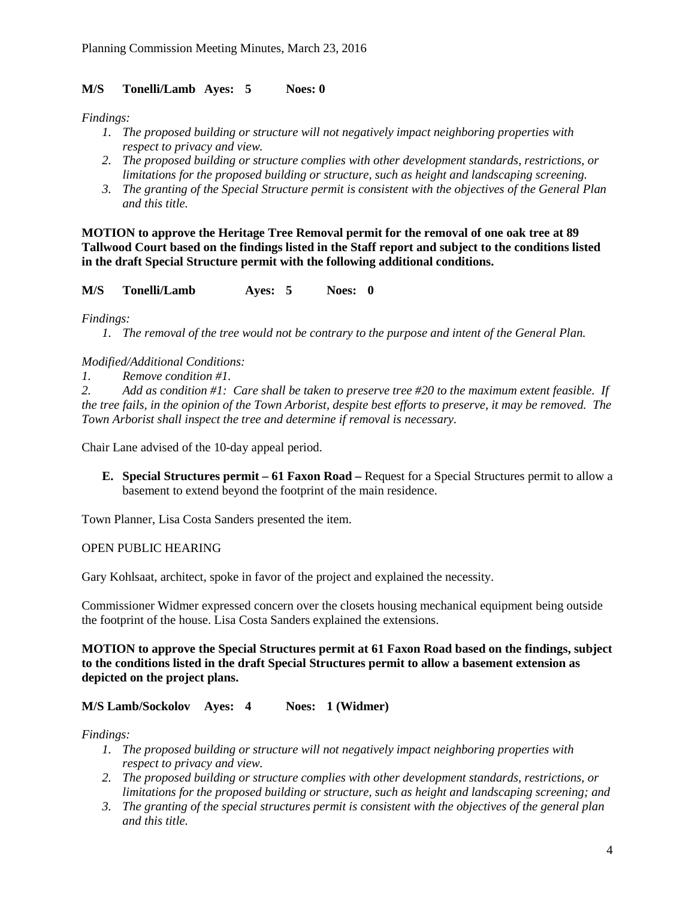## **M/S Tonelli/Lamb Ayes: 5 Noes: 0**

*Findings:*

- *1. The proposed building or structure will not negatively impact neighboring properties with respect to privacy and view.*
- *2. The proposed building or structure complies with other development standards, restrictions, or limitations for the proposed building or structure, such as height and landscaping screening.*
- *3. The granting of the Special Structure permit is consistent with the objectives of the General Plan and this title.*

**MOTION to approve the Heritage Tree Removal permit for the removal of one oak tree at 89 Tallwood Court based on the findings listed in the Staff report and subject to the conditions listed in the draft Special Structure permit with the following additional conditions.**

**M/S Tonelli/Lamb Ayes: 5 Noes: 0**

*Findings:*

*1. The removal of the tree would not be contrary to the purpose and intent of the General Plan.*

## *Modified/Additional Conditions:*

*1. Remove condition #1.*

*2. Add as condition #1: Care shall be taken to preserve tree #20 to the maximum extent feasible. If the tree fails, in the opinion of the Town Arborist, despite best efforts to preserve, it may be removed. The Town Arborist shall inspect the tree and determine if removal is necessary.*

Chair Lane advised of the 10-day appeal period.

**E. Special Structures permit – 61 Faxon Road –** Request for a Special Structures permit to allow a basement to extend beyond the footprint of the main residence.

Town Planner, Lisa Costa Sanders presented the item.

## OPEN PUBLIC HEARING

Gary Kohlsaat, architect, spoke in favor of the project and explained the necessity.

Commissioner Widmer expressed concern over the closets housing mechanical equipment being outside the footprint of the house. Lisa Costa Sanders explained the extensions.

## **MOTION to approve the Special Structures permit at 61 Faxon Road based on the findings, subject to the conditions listed in the draft Special Structures permit to allow a basement extension as depicted on the project plans.**

# **M/S Lamb/Sockolov Ayes: 4 Noes: 1 (Widmer)**

## *Findings:*

- *1. The proposed building or structure will not negatively impact neighboring properties with respect to privacy and view.*
- *2. The proposed building or structure complies with other development standards, restrictions, or limitations for the proposed building or structure, such as height and landscaping screening; and*
- *3. The granting of the special structures permit is consistent with the objectives of the general plan and this title.*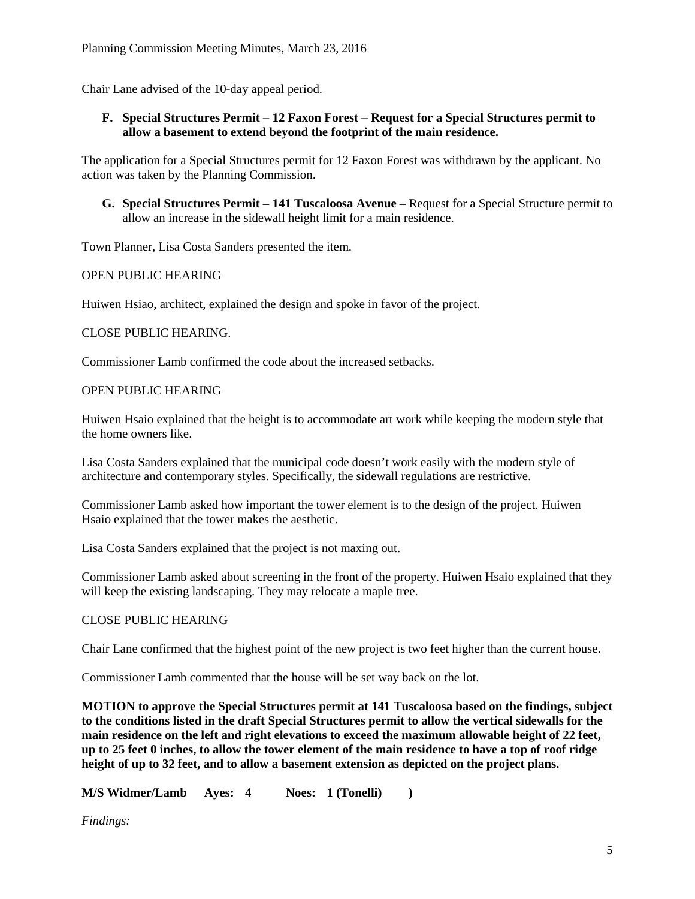Chair Lane advised of the 10-day appeal period.

## **F. Special Structures Permit – 12 Faxon Forest – Request for a Special Structures permit to allow a basement to extend beyond the footprint of the main residence.**

The application for a Special Structures permit for 12 Faxon Forest was withdrawn by the applicant. No action was taken by the Planning Commission.

**G. Special Structures Permit – 141 Tuscaloosa Avenue –** Request for a Special Structure permit to allow an increase in the sidewall height limit for a main residence.

Town Planner, Lisa Costa Sanders presented the item.

## OPEN PUBLIC HEARING

Huiwen Hsiao, architect, explained the design and spoke in favor of the project.

## CLOSE PUBLIC HEARING.

Commissioner Lamb confirmed the code about the increased setbacks.

## OPEN PUBLIC HEARING

Huiwen Hsaio explained that the height is to accommodate art work while keeping the modern style that the home owners like.

Lisa Costa Sanders explained that the municipal code doesn't work easily with the modern style of architecture and contemporary styles. Specifically, the sidewall regulations are restrictive.

Commissioner Lamb asked how important the tower element is to the design of the project. Huiwen Hsaio explained that the tower makes the aesthetic.

Lisa Costa Sanders explained that the project is not maxing out.

Commissioner Lamb asked about screening in the front of the property. Huiwen Hsaio explained that they will keep the existing landscaping. They may relocate a maple tree.

## CLOSE PUBLIC HEARING

Chair Lane confirmed that the highest point of the new project is two feet higher than the current house.

Commissioner Lamb commented that the house will be set way back on the lot.

**MOTION to approve the Special Structures permit at 141 Tuscaloosa based on the findings, subject to the conditions listed in the draft Special Structures permit to allow the vertical sidewalls for the main residence on the left and right elevations to exceed the maximum allowable height of 22 feet, up to 25 feet 0 inches, to allow the tower element of the main residence to have a top of roof ridge height of up to 32 feet, and to allow a basement extension as depicted on the project plans.**

**M/S Widmer/Lamb Ayes: 4 Noes: 1 (Tonelli) )**

*Findings:*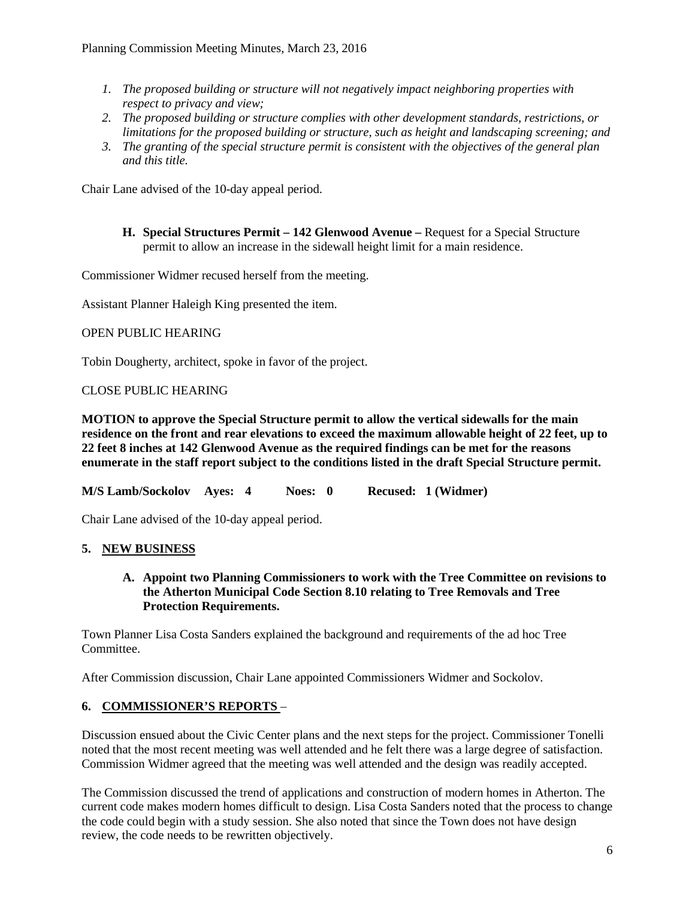- *1. The proposed building or structure will not negatively impact neighboring properties with respect to privacy and view;*
- *2. The proposed building or structure complies with other development standards, restrictions, or limitations for the proposed building or structure, such as height and landscaping screening; and*
- *3. The granting of the special structure permit is consistent with the objectives of the general plan and this title.*

Chair Lane advised of the 10-day appeal period.

**H. Special Structures Permit – 142 Glenwood Avenue –** Request for a Special Structure permit to allow an increase in the sidewall height limit for a main residence.

Commissioner Widmer recused herself from the meeting.

Assistant Planner Haleigh King presented the item.

## OPEN PUBLIC HEARING

Tobin Dougherty, architect, spoke in favor of the project.

## CLOSE PUBLIC HEARING

**MOTION to approve the Special Structure permit to allow the vertical sidewalls for the main residence on the front and rear elevations to exceed the maximum allowable height of 22 feet, up to 22 feet 8 inches at 142 Glenwood Avenue as the required findings can be met for the reasons enumerate in the staff report subject to the conditions listed in the draft Special Structure permit.**

**M/S Lamb/Sockolov Ayes: 4 Noes: 0 Recused: 1 (Widmer)**

Chair Lane advised of the 10-day appeal period.

# **5. NEW BUSINESS**

**A. Appoint two Planning Commissioners to work with the Tree Committee on revisions to the Atherton Municipal Code Section 8.10 relating to Tree Removals and Tree Protection Requirements.**

Town Planner Lisa Costa Sanders explained the background and requirements of the ad hoc Tree Committee.

After Commission discussion, Chair Lane appointed Commissioners Widmer and Sockolov.

# **6. COMMISSIONER'S REPORTS** –

Discussion ensued about the Civic Center plans and the next steps for the project. Commissioner Tonelli noted that the most recent meeting was well attended and he felt there was a large degree of satisfaction. Commission Widmer agreed that the meeting was well attended and the design was readily accepted.

The Commission discussed the trend of applications and construction of modern homes in Atherton. The current code makes modern homes difficult to design. Lisa Costa Sanders noted that the process to change the code could begin with a study session. She also noted that since the Town does not have design review, the code needs to be rewritten objectively.